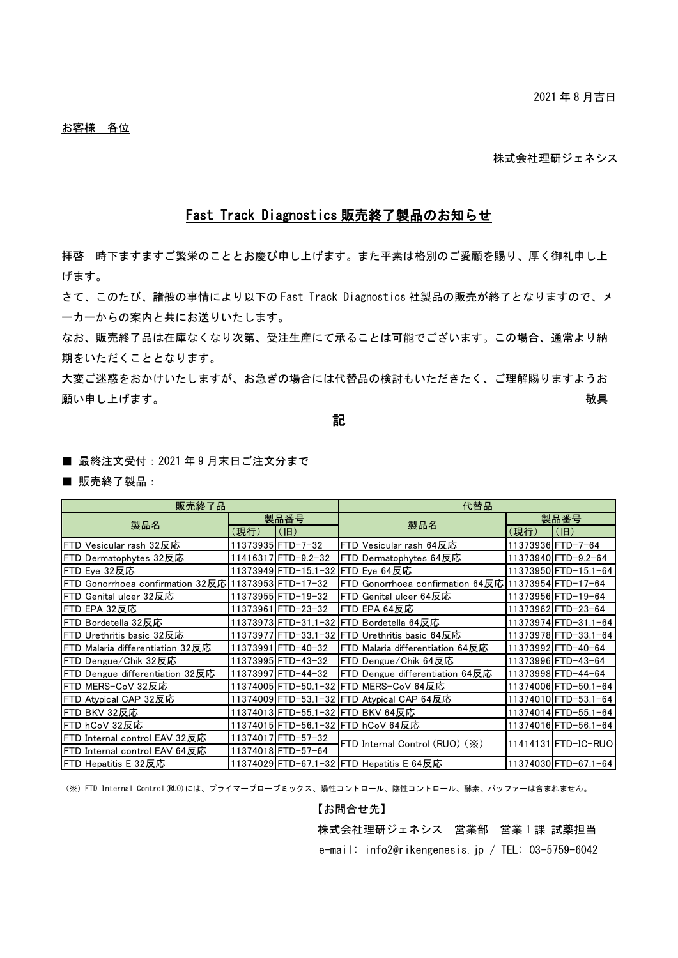株式会社理研ジェネシス

## Fast Track Diagnostics 販売終了製品のお知らせ

拝啓 時下ますますご繁栄のこととお慶び申し上げます。また平素は格別のご愛顧を賜り、厚く御礼申し上 げます。

さて、このたび、諸般の事情により以下の Fast Track Diagnostics 社製品の販売が終了となりますので、メ ーカーからの案内と共にお送りいたします。

なお、販売終了品は在庫なくなり次第、受注生産にて承ることは可能でございます。この場合、通常より納 期をいただくこととなります。

大変ご迷惑をおかけいたしますが、お急ぎの場合には代替品の検討もいただきたく、ご理解賜りますようお 願い申し上げます。 あない あいしゃ あいしゃ あいしゃ あいしゃ あいしゃ あいりょう 敬具

記

■ 最終注文受付: 2021 年 9 月末日ご注文分まで

■ 販売終了製品:

| 販売終了品                            |      |                          | 代替品                                            |      |                      |
|----------------------------------|------|--------------------------|------------------------------------------------|------|----------------------|
| 製品名                              | 製品番号 |                          | 製品名                                            | 製品番号 |                      |
|                                  | (現行) | $(\mathsf{I}\mathsf{B})$ |                                                | (現行) | (H)                  |
| FTD Vesicular rash 32反応          |      | 11373935 FTD-7-32        | FTD Vesicular rash 64反応                        |      | 11373936 FTD-7-64    |
| FTD Dermatophytes 32反応           |      | 11416317FTD-9.2-32       | FTD Dermatophytes 64反応                         |      | 11373940 FTD-9.2-64  |
| FTD Eye 32反応                     |      |                          | 11373949 FTD-15.1-32 FTD Eye 64反応              |      | 11373950 FTD-15.1-64 |
| FTD Gonorrhoea confirmation 32反応 |      | 11373953 FTD-17-32       | FTD Gonorrhoea confirmation 64反応               |      | 11373954 FTD-17-64   |
| FTD Genital ulcer 32反応           |      | 11373955 FTD-19-32       | FTD Genital ulcer 64反応                         |      | 11373956 FTD-19-64   |
| FTD EPA 32反応                     |      | 11373961FTD-23-32        | FTD EPA 64反応                                   |      | 11373962 FTD-23-64   |
| FTD Bordetella 32反応              |      |                          | 11373973 FTD−31.1−32  FTD Bordetella 64反応      |      | 11373974 FTD-31.1-64 |
| FTD Urethritis basic 32反応        |      |                          | 11373977 FTD-33.1-32 FTD Urethritis basic 64反応 |      | 11373978FTD-33.1-64  |
| FTD Malaria differentiation 32反応 |      | 11373991FTD-40-32        | FTD Malaria differentiation 64反応               |      | 11373992 FTD-40-64   |
| FTD Dengue/Chik 32反応             |      | 11373995LFTD-43-32       | FTD Dengue/Chik 64反応                           |      | 11373996 FTD-43-64   |
| FTD Dengue differentiation 32反応  |      | 11373997FTD-44-32        | FTD Dengue differentiation 64反応                |      | 11373998 FTD-44-64   |
| FTD MERS-CoV 32反応                |      |                          | 11374005 FTD-50.1-32 FTD MERS-CoV 64反応         |      | 11374006 FTD-50.1-64 |
| FTD Atypical CAP 32反応            |      |                          | 11374009 FTD-53.1-32 FTD Atypical CAP 64反応     |      | 11374010 FTD-53.1-64 |
| FTD BKV 32反応                     |      |                          | 11374013 FTD-55.1-32 FTD BKV 64反応              |      | 11374014FTD-55.1-64  |
| FTD hCoV 32反応                    |      |                          | 11374015 FTD-56.1-32 FTD hCoV 64反応             |      | 11374016 FTD-56.1-64 |
| FTD Internal control EAV 32反応    |      | 11374017 FTD-57-32       | FTD Internal Control (RUO) (X)                 |      | 11414131 FTD-IC-RUO  |
| FTD Internal control EAV 64反応    |      | 11374018 FTD-57-64       |                                                |      |                      |
| FTD Hepatitis E 32反応             |      |                          | 11374029 FTD-67.1-32 FTD Hepatitis E 64反応      |      | 11374030 FTD-67.1-64 |

(※)FTD Internal Control(RUO)には、プライマープローブミックス、陽性コントロール、陰性コントロール、酵素、バッファーは含まれません。

【お問合せ先】

株式会社理研ジェネシス 営業部 営業1課 試薬担当

e-mail: info2@rikengenesis.jp / TEL: 03-5759-6042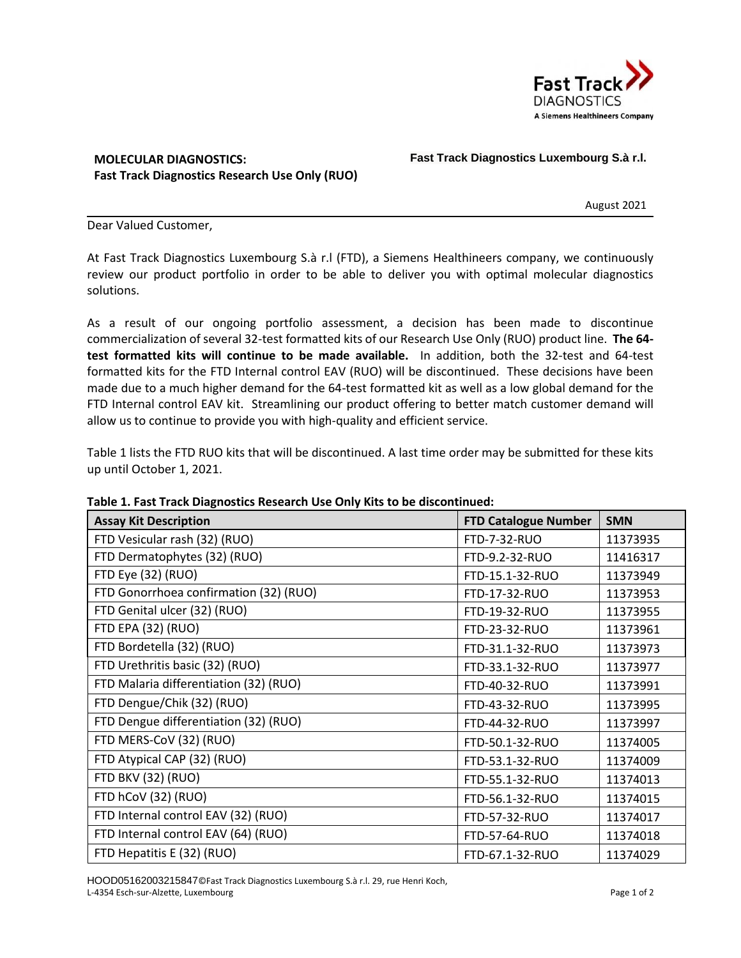

## **MOLECULAR DIAGNOSTICS: Fast Track Diagnostics Research Use Only (RUO)**

## **Fast Track Diagnostics Luxembourg S.à r.l.**

August 2021

Dear Valued Customer,

At Fast Track Diagnostics Luxembourg S.à r.l (FTD), a Siemens Healthineers company, we continuously review our product portfolio in order to be able to deliver you with optimal molecular diagnostics solutions.

As a result of our ongoing portfolio assessment, a decision has been made to discontinue commercialization of several 32-test formatted kits of our Research Use Only (RUO) product line. **The 64 test formatted kits will continue to be made available.** In addition, both the 32-test and 64-test formatted kits for the FTD Internal control EAV (RUO) will be discontinued. These decisions have been made due to a much higher demand for the 64-test formatted kit as well as a low global demand for the FTD Internal control EAV kit. Streamlining our product offering to better match customer demand will allow us to continue to provide you with high-quality and efficient service.

Table 1 lists the FTD RUO kits that will be discontinued. A last time order may be submitted for these kits up until October 1, 2021.

| <b>Assay Kit Description</b>           | <b>FTD Catalogue Number</b> | <b>SMN</b> |
|----------------------------------------|-----------------------------|------------|
| FTD Vesicular rash (32) (RUO)          | FTD-7-32-RUO                | 11373935   |
| FTD Dermatophytes (32) (RUO)           | FTD-9.2-32-RUO              | 11416317   |
| FTD Eye (32) (RUO)                     | FTD-15.1-32-RUO             | 11373949   |
| FTD Gonorrhoea confirmation (32) (RUO) | FTD-17-32-RUO               | 11373953   |
| FTD Genital ulcer (32) (RUO)           | FTD-19-32-RUO               | 11373955   |
| FTD EPA (32) (RUO)                     | FTD-23-32-RUO               | 11373961   |
| FTD Bordetella (32) (RUO)              | FTD-31.1-32-RUO             | 11373973   |
| FTD Urethritis basic (32) (RUO)        | FTD-33.1-32-RUO             | 11373977   |
| FTD Malaria differentiation (32) (RUO) | FTD-40-32-RUO               | 11373991   |
| FTD Dengue/Chik (32) (RUO)             | FTD-43-32-RUO               | 11373995   |
| FTD Dengue differentiation (32) (RUO)  | FTD-44-32-RUO               | 11373997   |
| FTD MERS-CoV (32) (RUO)                | FTD-50.1-32-RUO             | 11374005   |
| FTD Atypical CAP (32) (RUO)            | FTD-53.1-32-RUO             | 11374009   |
| FTD BKV (32) (RUO)                     | FTD-55.1-32-RUO             | 11374013   |
| FTD hCoV (32) (RUO)                    | FTD-56.1-32-RUO             | 11374015   |
| FTD Internal control EAV (32) (RUO)    | FTD-57-32-RUO               | 11374017   |
| FTD Internal control EAV (64) (RUO)    | FTD-57-64-RUO               | 11374018   |
| FTD Hepatitis E (32) (RUO)             | FTD-67.1-32-RUO             | 11374029   |

**Table 1. Fast Track Diagnostics Research Use Only Kits to be discontinued:** 

HOOD05162003215847©Fast Track Diagnostics Luxembourg S.à r.l. 29, rue Henri Koch, L-4354 Esch-sur-Alzette, Luxembourg **Page 1 of 2** Alexander Page 1 of 2